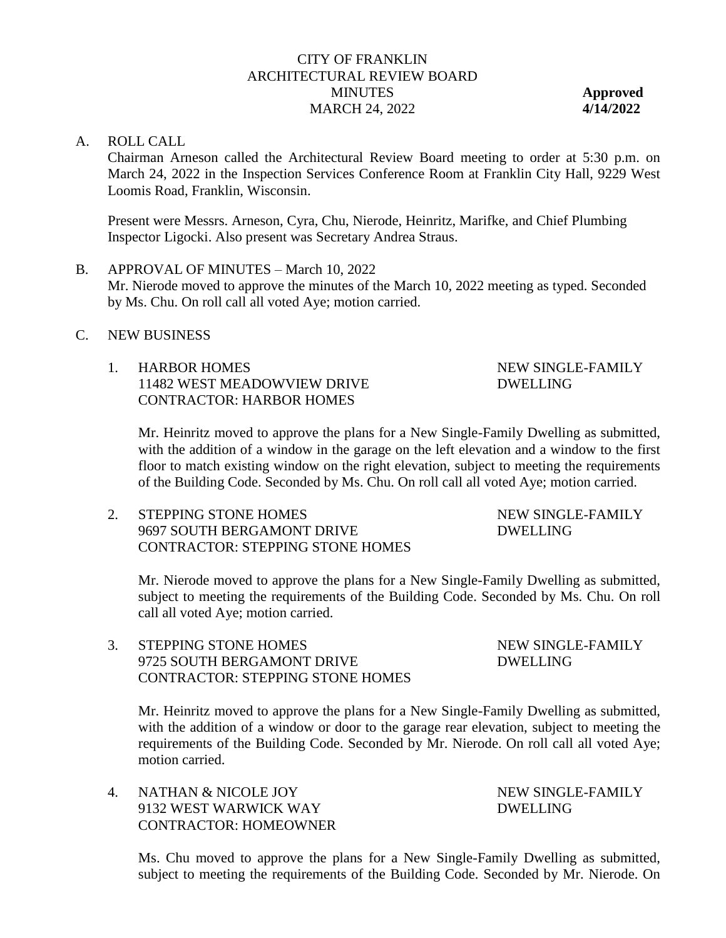## CITY OF FRANKLIN ARCHITECTURAL REVIEW BOARD **MINUTES** MARCH 24, 2022

**Approved 4/14/2022**

#### A. ROLL CALL

Chairman Arneson called the Architectural Review Board meeting to order at 5:30 p.m. on March 24, 2022 in the Inspection Services Conference Room at Franklin City Hall, 9229 West Loomis Road, Franklin, Wisconsin.

Present were Messrs. Arneson, Cyra, Chu, Nierode, Heinritz, Marifke, and Chief Plumbing Inspector Ligocki. Also present was Secretary Andrea Straus.

- B. APPROVAL OF MINUTES March 10, 2022 Mr. Nierode moved to approve the minutes of the March 10, 2022 meeting as typed. Seconded by Ms. Chu. On roll call all voted Aye; motion carried.
- C. NEW BUSINESS
	- 1. HARBOR HOMES 11482 WEST MEADOWVIEW DRIVE CONTRACTOR: HARBOR HOMES

#### NEW SINGLE-FAMILY DWELLING

Mr. Heinritz moved to approve the plans for a New Single-Family Dwelling as submitted, with the addition of a window in the garage on the left elevation and a window to the first floor to match existing window on the right elevation, subject to meeting the requirements of the Building Code. Seconded by Ms. Chu. On roll call all voted Aye; motion carried.

2. STEPPING STONE HOMES 9697 SOUTH BERGAMONT DRIVE CONTRACTOR: STEPPING STONE HOMES

### NEW SINGLE-FAMILY DWELLING

NEW SINGLE-FAMILY

DWELLING

Mr. Nierode moved to approve the plans for a New Single-Family Dwelling as submitted, subject to meeting the requirements of the Building Code. Seconded by Ms. Chu. On roll call all voted Aye; motion carried.

### 3. STEPPING STONE HOMES 9725 SOUTH BERGAMONT DRIVE CONTRACTOR: STEPPING STONE HOMES

Mr. Heinritz moved to approve the plans for a New Single-Family Dwelling as submitted, with the addition of a window or door to the garage rear elevation, subject to meeting the requirements of the Building Code. Seconded by Mr. Nierode. On roll call all voted Aye; motion carried.

4. NATHAN & NICOLE JOY 9132 WEST WARWICK WAY CONTRACTOR: HOMEOWNER NEW SINGLE-FAMILY DWELLING

Ms. Chu moved to approve the plans for a New Single-Family Dwelling as submitted, subject to meeting the requirements of the Building Code. Seconded by Mr. Nierode. On